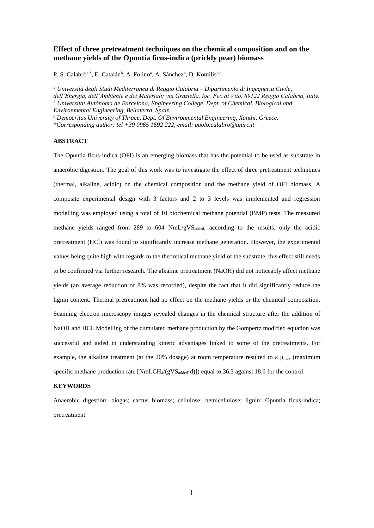# **Effect of three pretreatment techniques on the chemical composition and on the methane yields of the Opuntia ficus-indica (prickly pear) biomass**

P. S. Calabrò<sup>a,\*</sup>, E. Catalán<sup>b</sup>, A. Folino<sup>a</sup>, A. Sánchez<sup>b</sup>, D. Komilis<sup>b,c</sup>

*<sup>a</sup> Università degli Studi Mediterranea di Reggio Calabria – Dipartimento di Ingegneria Civile, dell'Energia, dell'Ambiente e dei Materiali; via Graziella, loc. Feo di Vito, 89122 Reggio Calabria, Italy. <sup>b</sup> Universitat Autònoma de Barcelona, Engineering College, Dept. of Chemical, Biological and Environmental Engineering, Bellaterra, Spain*

*<sup>c</sup> Democritus University of Thrace, Dept. Of Environmental Engineering, Xanthi, Greece.*

*\*Corresponding author: tel +39 0965 1692 222, email: paolo.calabro@unirc.it*

### **ABSTRACT**

The Opuntia ficus-indica (OFI) is an emerging biomass that has the potential to be used as substrate in anaerobic digestion. The goal of this work was to investigate the effect of three pretreatment techniques (thermal, alkaline, acidic) on the chemical composition and the methane yield of OFI biomass. A composite experimental design with 3 factors and 2 to 3 levels was implemented and regression modelling was employed using a total of 10 biochemical methane potential (BMP) tests. The measured methane yields ranged from 289 to 604 NmL/gVS<sub>added</sub>, according to the results, only the acidic pretreatment (HCl) was found to significantly increase methane generation. However, the experimental values being quite high with regards to the theoretical methane yield of the substrate, this effect still needs to be confirmed via further research. The alkaline pretreatment (NaOH) did not noticeably affect methane yields (an average reduction of 8% was recorded), despite the fact that it did significantly reduce the lignin content. Thermal pretreatment had no effect on the methane yields or the chemical composition. Scanning electron microscopy images revealed changes in the chemical structure after the addition of NaOH and HCl. Modelling of the cumulated methane production by the Gompertz modified equation was successful and aided in understanding kinetic advantages linked to some of the pretreatments. For example, the alkaline treatment (at the 20% dosage) at room temperature resulted to a  $\mu_{\text{max}}$  (maximum specific methane production rate  $[NmLCH_4/(gVS_{added} \cdot d)]$ ) equal to 36.3 against 18.6 for the control.

# **KEYWORDS**

Anaerobic digestion; biogas; cactus biomass; cellulose; hemicellulose; lignin; Opuntia ficus-indica; pretreatment.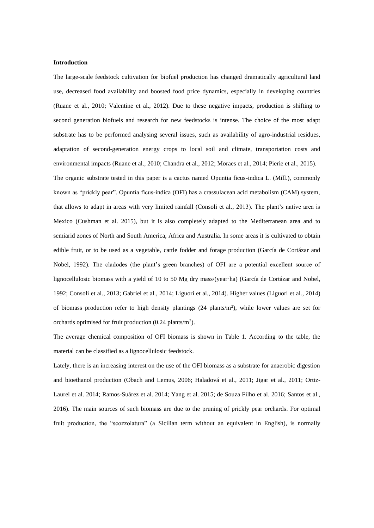### **Introduction**

The large-scale feedstock cultivation for biofuel production has changed dramatically agricultural land use, decreased food availability and boosted food price dynamics, especially in developing countries (Ruane et al., 2010; Valentine et al., 2012). Due to these negative impacts, production is shifting to second generation biofuels and research for new feedstocks is intense. The choice of the most adapt substrate has to be performed analysing several issues, such as availability of agro-industrial residues, adaptation of second-generation energy crops to local soil and climate, transportation costs and environmental impacts (Ruane et al., 2010; Chandra et al., 2012; Moraes et al., 2014; Pierie et al., 2015). The organic substrate tested in this paper is a cactus named Opuntia ficus-indica L. (Mill.), commonly known as "prickly pear". Opuntia ficus-indica (OFI) has a crassulacean acid metabolism (CAM) system, that allows to adapt in areas with very limited rainfall (Consoli et al., 2013). The plant's native area is Mexico (Cushman et al. 2015), but it is also completely adapted to the Mediterranean area and to semiarid zones of North and South America, Africa and Australia. In some areas it is cultivated to obtain edible fruit, or to be used as a vegetable, cattle fodder and forage production (García de Cortázar and Nobel, 1992). The cladodes (the plant's green branches) of OFI are a potential excellent source of lignocellulosic biomass with a yield of 10 to 50 Mg dry mass/(year·ha) (García de Cortázar and Nobel, 1992; Consoli et al., 2013; Gabriel et al., 2014; Liguori et al., 2014). Higher values (Liguori et al., 2014) of biomass production refer to high density plantings (24 plants/m<sup>2</sup>), while lower values are set for orchards optimised for fruit production  $(0.24 \text{ plants/m}^2)$ .

The average chemical composition of OFI biomass is shown in Table 1. According to the table, the material can be classified as a lignocellulosic feedstock.

Lately, there is an increasing interest on the use of the OFI biomass as a substrate for anaerobic digestion and bioethanol production (Obach and Lemus, 2006; Haladová et al., 2011; Jigar et al., 2011; Ortiz-Laurel et al. 2014; Ramos-Suárez et al. 2014; Yang et al. 2015; de Souza Filho et al. 2016; Santos et al., 2016). The main sources of such biomass are due to the pruning of prickly pear orchards. For optimal fruit production, the "scozzolatura" (a Sicilian term without an equivalent in English), is normally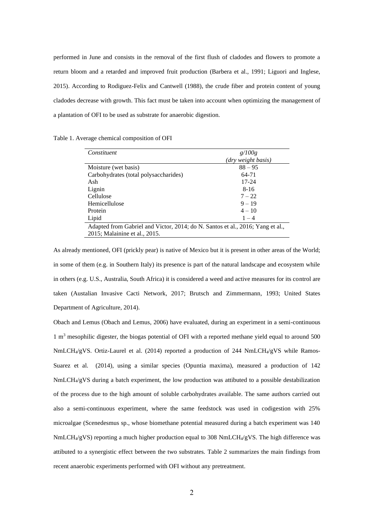performed in June and consists in the removal of the first flush of cladodes and flowers to promote a return bloom and a retarded and improved fruit production (Barbera et al., 1991; Liguori and Inglese, 2015). According to Rodiguez-Felix and Cantwell (1988), the crude fiber and protein content of young cladodes decrease with growth. This fact must be taken into account when optimizing the management of a plantation of OFI to be used as substrate for anaerobic digestion.

Table 1. Average chemical composition of OFI

| Constituent                                                                    | g/100g             |  |  |  |  |
|--------------------------------------------------------------------------------|--------------------|--|--|--|--|
|                                                                                | (dry weight basis) |  |  |  |  |
| Moisture (wet basis)                                                           | $88 - 95$          |  |  |  |  |
| Carbohydrates (total polysaccharides)                                          | 64-71              |  |  |  |  |
| Ash                                                                            | $17 - 24$          |  |  |  |  |
| Lignin                                                                         | $8 - 16$           |  |  |  |  |
| Cellulose                                                                      | $7 - 22$           |  |  |  |  |
| Hemicellulose                                                                  | $9 - 19$           |  |  |  |  |
| Protein                                                                        | $4 - 10$           |  |  |  |  |
| Lipid                                                                          | $1 - 4$            |  |  |  |  |
| Adapted from Gabriel and Victor, 2014; do N. Santos et al., 2016; Yang et al., |                    |  |  |  |  |
| 2015; Malainine et al., 2015.                                                  |                    |  |  |  |  |

As already mentioned, OFI (prickly pear) is native of Mexico but it is present in other areas of the World; in some of them (e.g. in Southern Italy) its presence is part of the natural landscape and ecosystem while in others (e.g. U.S., Australia, South Africa) it is considered a weed and active measures for its control are taken (Austalian Invasive Cacti Network, 2017; Brutsch and Zimmermann, 1993; United States Department of Agriculture, 2014).

Obach and Lemus (Obach and Lemus, 2006) have evaluated, during an experiment in a semi-continuous  $1 \text{ m}^3$  mesophilic digester, the biogas potential of OFI with a reported methane yield equal to around 500 NmLCH4/gVS. Ortiz-Laurel et al. (2014) reported a production of 244 NmLCH4/gVS while Ramos-Suarez et al. (2014), using a similar species (Opuntia maxima), measured a production of 142 NmLCH4/gVS during a batch experiment, the low production was attibuted to a possible destabilization of the process due to the high amount of soluble carbohydrates available. The same authors carried out also a semi-continuous experiment, where the same feedstock was used in codigestion with 25% microalgae (Scenedesmus sp., whose biomethane potential measured during a batch experiment was 140  $NmLCH<sub>4</sub>/gVS$ ) reporting a much higher production equal to 308 NmLCH $_{4}/gVS$ . The high difference was attibuted to a synergistic effect between the two substrates. Table 2 summarizes the main findings from recent anaerobic experiments performed with OFI without any pretreatment.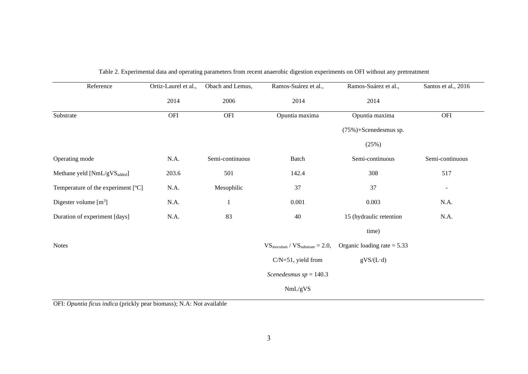| Reference                                | Ortiz-Laurel et al., | Obach and Lemus, | Ramos-Suárez et al.,                                  | Ramos-Suárez et al.,          | Santos et al., 2016      |
|------------------------------------------|----------------------|------------------|-------------------------------------------------------|-------------------------------|--------------------------|
|                                          | 2014                 | 2006             | 2014                                                  | 2014                          |                          |
| Substrate                                | OFI                  | OFI              | Opuntia maxima                                        | Opuntia maxima                | OFI                      |
|                                          |                      |                  |                                                       | (75%)+Scenedesmus sp.         |                          |
|                                          |                      |                  |                                                       | (25%)                         |                          |
| Operating mode                           | N.A.                 | Semi-continuous  | Batch                                                 | Semi-continuous               | Semi-continuous          |
| Methane yeld [NmL/gVS <sub>added</sub> ] | 203.6                | 501              | 142.4                                                 | 308                           | 517                      |
| Temperature of the experiment [°C]       | N.A.                 | Mesophilic       | 37                                                    | 37                            | $\overline{\phantom{a}}$ |
| Digester volume $[m^3]$                  | N.A.                 | $\mathbf{1}$     | 0.001                                                 | 0.003                         | N.A.                     |
| Duration of experiment [days]            | N.A.                 | 83               | 40                                                    | 15 (hydraulic retention       | N.A.                     |
|                                          |                      |                  |                                                       | time)                         |                          |
| <b>Notes</b>                             |                      |                  | $VS_{\text{inoculum}} / VS_{\text{substrate}} = 2.0,$ | Organic loading rate $= 5.33$ |                          |
|                                          |                      |                  | $C/N=51$ , yield from                                 | $gVS/(L \cdot d)$             |                          |
|                                          |                      |                  | Scenedesmus $sp = 140.3$                              |                               |                          |
|                                          |                      |                  | NmL/gVS                                               |                               |                          |

# Table 2. Experimental data and operating parameters from recent anaerobic digestion experiments on OFI without any pretreatment

OFI: *Opuntia ficus indica* (prickly pear biomass); N.A: Not available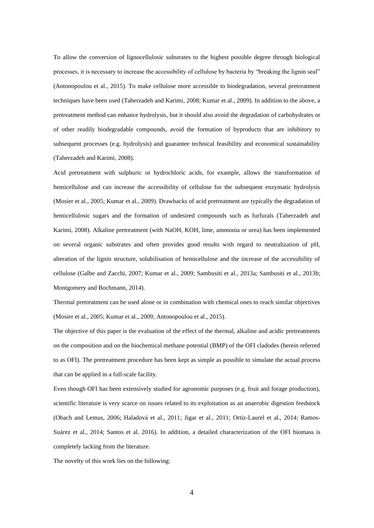To allow the conversion of lignocellulosic substrates to the highest possible degree through biological processes, it is necessary to increase the accessibility of cellulose by bacteria by "breaking the lignin seal" (Antonopoulou et al., 2015). To make cellulose more accessible to biodegradation, several pretreatment techniques have been used (Taherzadeh and Karimi, 2008; Kumar et al., 2009). In addition to the above, a pretreatment method can enhance hydrolysis, but it should also avoid the degradation of carbohydrates or of other readily biodegradable compounds, avoid the formation of byproducts that are inhibitory to subsequent processes (e.g. hydrolysis) and guarantee technical feasibility and economical sustainability (Taherzadeh and Karimi, 2008).

Acid pretreatment with sulphuric or hydrochloric acids, for example, allows the transformation of hemicellulose and can increase the accessibility of cellulose for the subsequent enzymatic hydrolysis (Mosier et al., 2005; Kumar et al., 2009). Drawbacks of acid pretreatment are typically the degradation of hemicellulosic sugars and the formation of undesired compounds such as furfurals (Taherzadeh and Karimi, 2008). Alkaline pretreatment (with NaOH, KOH, lime, ammonia or urea) has been implemented on several organic substrates and often provides good results with regard to neutralization of pH, alteration of the lignin structure, solubilisation of hemicellulose and the increase of the accessibility of cellulose (Galbe and Zacchi, 2007; Kumar et al., 2009; Sambusiti et al., 2013a; Sambusiti et al., 2013b; Montgomery and Bochmann, 2014).

Thermal pretreatment can be used alone or in combination with chemical ones to reach similar objectives (Mosier et al., 2005; Kumar et al., 2009; Antonopoulou et al., 2015).

The objective of this paper is the evaluation of the effect of the thermal, alkaline and acidic pretreatments on the composition and on the biochemical methane potential (BMP) of the OFI cladodes (herein referred to as OFI). The pretreatment procedure has been kept as simple as possible to simulate the actual process that can be applied in a full-scale facility.

Even though OFI has been extensively studied for agronomic purposes (e.g. fruit and forage production), scientific literature is very scarce on issues related to its exploitation as an anaerobic digestion feedstock (Obach and Lemus, 2006; Haladová et al., 2011; Jigar et al., 2011; Ortiz-Laurel et al., 2014; Ramos-Suárez et al., 2014; Santos et al. 2016). In addition, a detailed characterization of the OFI biomass is completely lacking from the literature.

The novelty of this work lies on the following: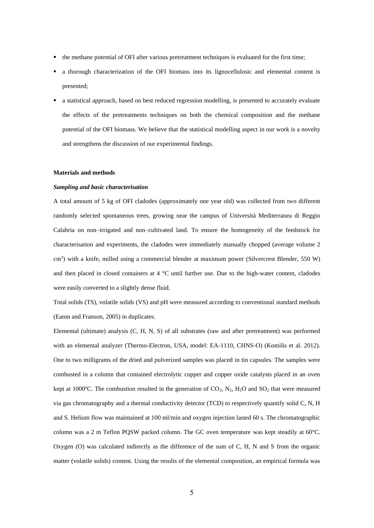- the methane potential of OFI after various pretreatment techniques is evaluated for the first time;
- a thorough characterization of the OFI biomass into its lignocellulosic and elemental content is presented;
- a statistical approach, based on best reduced regression modelling, is presented to accurately evaluate the effects of the pretreatments techniques on both the chemical composition and the methane potential of the OFI biomass. We believe that the statistical modelling aspect in our work is a novelty and strengthens the discussion of our experimental findings.

#### **Materials and methods**

### *Sampling and basic characterisation*

A total amount of 5 kg of OFI cladodes (approximately one year old) was collected from two different randomly selected spontaneous trees, growing near the campus of Università Mediterranea di Reggio Calabria on non–irrigated and non–cultivated land. To ensure the homogeneity of the feedstock for characterisation and experiments, the cladodes were immediately manually chopped (average volume 2 cm<sup>3</sup>) with a knife, milled using a commercial blender at maximum power (Silvercrest Blender, 550 W) and then placed in closed containers at 4 °C until further use. Due to the high-water content, cladodes were easily converted to a slightly dense fluid.

Total solids (TS), volatile solids (VS) and pH were measured according to conventional standard methods (Eaton and Franson, 2005) in duplicates.

Elemental (ultimate) analysis (C, H, N, S) of all substrates (raw and after pretreatment) was performed with an elemental analyzer (Thermo-Electron, USA, model: EA-1110, CHNS-O) (Komilis et al. 2012). One to two milligrams of the dried and pulverized samples was placed in tin capsules. The samples were combusted in a column that contained electrolytic copper and copper oxide catalysts placed in an oven kept at 1000 $^{\circ}$ C. The combustion resulted in the generation of CO<sub>2</sub>, N<sub>2</sub>, H<sub>2</sub>O and SO<sub>2</sub> that were measured via gas chromatography and a thermal conductivity detector (TCD) to respectively quantify solid C, N, H and S. Helium flow was maintained at 100 ml/min and oxygen injection lasted 60 s. The chromatographic column was a 2 m Teflon PQSW packed column. The GC oven temperature was kept steadily at 60°C. Oxygen (O) was calculated indirectly as the difference of the sum of C, H, N and S from the organic matter (volatile solids) content. Using the results of the elemental composition, an empirical formula was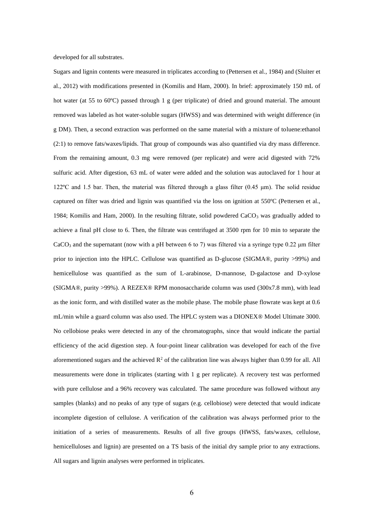developed for all substrates.

Sugars and lignin contents were measured in triplicates according to (Pettersen et al., 1984) and (Sluiter et al., 2012) with modifications presented in (Komilis and Ham, 2000). In brief: approximately 150 mL of hot water (at 55 to 60°C) passed through 1 g (per triplicate) of dried and ground material. The amount removed was labeled as hot water-soluble sugars (HWSS) and was determined with weight difference (in g DM). Then, a second extraction was performed on the same material with a mixture of toluene:ethanol (2:1) to remove fats/waxes/lipids. That group of compounds was also quantified via dry mass difference. From the remaining amount, 0.3 mg were removed (per replicate) and were acid digested with 72% sulfuric acid. After digestion, 63 mL of water were added and the solution was autoclaved for 1 hour at 122ºC and 1.5 bar. Then, the material was filtered through a glass filter (0.45 μm). The solid residue captured on filter was dried and lignin was quantified via the loss on ignition at 550ºC (Pettersen et al., 1984; Komilis and Ham, 2000). In the resulting filtrate, solid powdered  $CaCO<sub>3</sub>$  was gradually added to achieve a final pH close to 6. Then, the filtrate was centrifuged at 3500 rpm for 10 min to separate the  $CaCO<sub>3</sub>$  and the supernatant (now with a pH between 6 to 7) was filtered via a syringe type 0.22 µm filter prior to injection into the HPLC. Cellulose was quantified as D-glucose (SIGMA®, purity >99%) and hemicellulose was quantified as the sum of L-arabinose, D-mannose, D-galactose and D-xylose (SIGMA®, purity >99%). A REZEX® RPM monosaccharide column was used (300x7.8 mm), with lead as the ionic form, and with distilled water as the mobile phase. The mobile phase flowrate was kept at 0.6 mL/min while a guard column was also used. The HPLC system was a DIONEX® Model Ultimate 3000. No cellobiose peaks were detected in any of the chromatographs, since that would indicate the partial efficiency of the acid digestion step. A four-point linear calibration was developed for each of the five aforementioned sugars and the achieved  $R^2$  of the calibration line was always higher than 0.99 for all. All measurements were done in triplicates (starting with 1 g per replicate). A recovery test was performed with pure cellulose and a 96% recovery was calculated. The same procedure was followed without any samples (blanks) and no peaks of any type of sugars (e.g. cellobiose) were detected that would indicate incomplete digestion of cellulose. A verification of the calibration was always performed prior to the initiation of a series of measurements. Results of all five groups (HWSS, fats/waxes, cellulose, hemicelluloses and lignin) are presented on a TS basis of the initial dry sample prior to any extractions. All sugars and lignin analyses were performed in triplicates.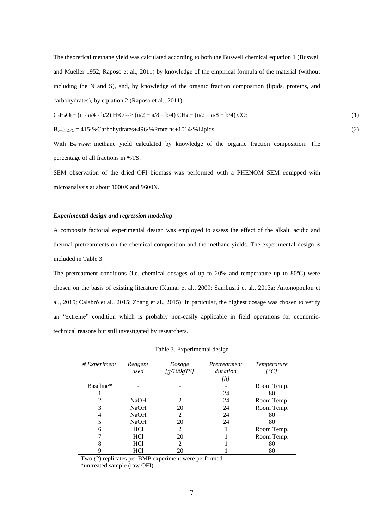The theoretical methane yield was calculated according to both the Buswell chemical equation 1 (Buswell and Mueller 1952, Raposo et al., 2011) by knowledge of the empirical formula of the material (without including the N and S), and, by knowledge of the organic fraction composition (lipids, proteins, and carbohydrates), by equation 2 (Raposo et al., 2011):

$$
C_nH_aO_b + (n - a/4 - b/2)H_2O \n\overset{.}{=} (n/2 + a/8 - b/4) \n\quad CH_4 + (n/2 - a/8 + b/4) \n\tag{1}
$$

Bo−ThOFC = 415·%Carbohydrates+496·%Proteins+1014·%Lipids (2)

With B<sub>o-ThOFC</sub> methane yield calculated by knowledge of the organic fraction composition. The percentage of all fractions in %TS.

SEM observation of the dried OFI biomass was performed with a PHENOM SEM equipped with microanalysis at about 1000X and 9600X.

# *Experimental design and regression modeling*

A composite factorial experimental design was employed to assess the effect of the alkali, acidic and thermal pretreatments on the chemical composition and the methane yields. The experimental design is included in Table 3.

The pretreatment conditions (i.e. chemical dosages of up to 20% and temperature up to 80ºC) were chosen on the basis of existing literature (Kumar et al., 2009; Sambusiti et al., 2013a; Antonopoulou et al., 2015; Calabrò et al., 2015; Zhang et al., 2015). In particular, the highest dosage was chosen to verify an "extreme" condition which is probably non-easily applicable in field operations for economictechnical reasons but still investigated by researchers.

| # Experiment | Reagent<br>used | Dosage<br>[g/100gTS] | Pretreatment<br>duration<br>[ $h$ ] | Temperature<br>[°C] |
|--------------|-----------------|----------------------|-------------------------------------|---------------------|
| Baseline*    |                 |                      |                                     | Room Temp.          |
|              |                 |                      | 24                                  | 80                  |
|              | <b>NaOH</b>     | 2                    | 24                                  | Room Temp.          |
| 3            | <b>NaOH</b>     | 20                   | 24                                  | Room Temp.          |
| 4            | <b>NaOH</b>     | 2                    | 24                                  | 80                  |
| 5            | <b>NaOH</b>     | 20                   | 24                                  | 80                  |
| 6            | HC <sub>1</sub> | 2                    |                                     | Room Temp.          |
|              | HC <sub>1</sub> | 20                   |                                     | Room Temp.          |
| 8            | <b>HCl</b>      | $\mathfrak{D}$       |                                     | 80                  |
|              | HCl             | 20                   |                                     | 80                  |

Table 3. Experimental design

Two *(*2) replicates per BMP experiment were performed.

\*untreated sample (raw OFI)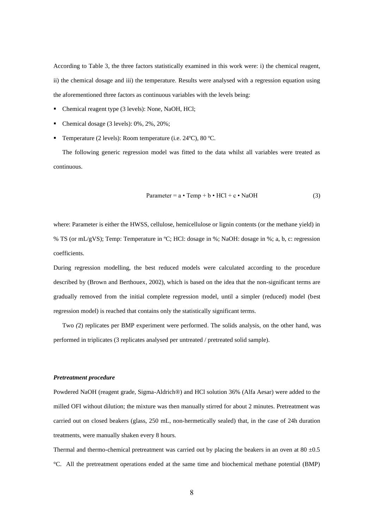According to Table 3, the three factors statistically examined in this work were: i) the chemical reagent, ii) the chemical dosage and iii) the temperature. Results were analysed with a regression equation using the aforementioned three factors as continuous variables with the levels being:

- Chemical reagent type (3 levels): None, NaOH, HCl;
- Chemical dosage  $(3 \text{ levels})$ : 0%, 2%, 20%;
- Temperature (2 levels): Room temperature (i.e. 24°C), 80 °C.

The following generic regression model was fitted to the data whilst all variables were treated as continuous.

$$
Parameter = a \cdot Temp + b \cdot HCl + c \cdot NaOH
$$
 (3)

where: Parameter is either the HWSS, cellulose, hemicellulose or lignin contents (or the methane yield) in % TS (or mL/gVS); Temp: Temperature in ºC; HCl: dosage in %; NaOH: dosage in %; a, b, c: regression coefficients.

During regression modelling, the best reduced models were calculated according to the procedure described by (Brown and Berthouex, 2002), which is based on the idea that the non-significant terms are gradually removed from the initial complete regression model, until a simpler (reduced) model (best regression model) is reached that contains only the statistically significant terms.

Two *(*2) replicates per BMP experiment were performed. The solids analysis, on the other hand, was performed in triplicates (3 replicates analysed per untreated / pretreated solid sample).

### *Pretreatment procedure*

Powdered NaOH (reagent grade, Sigma-Aldrich®) and HCl solution 36% (Alfa Aesar) were added to the milled OFI without dilution; the mixture was then manually stirred for about 2 minutes. Pretreatment was carried out on closed beakers (glass, 250 mL, non-hermetically sealed) that, in the case of 24h duration treatments, were manually shaken every 8 hours.

Thermal and thermo-chemical pretreatment was carried out by placing the beakers in an oven at 80  $\pm$ 0.5 °C. All the pretreatment operations ended at the same time and biochemical methane potential (BMP)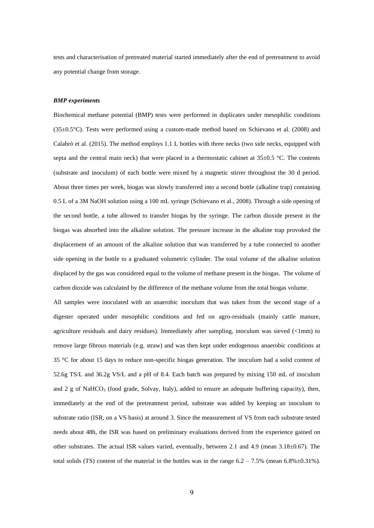tests and characterisation of pretreated material started immediately after the end of pretreatment to avoid any potential change from storage.

### *BMP experiments*

Biochemical methane potential (BMP) tests were performed in duplicates under mesophilic conditions (35±0.5°C). Tests were performed using a custom-made method based on Schievano et al. (2008) and Calabrò et al. (2015). The method employs 1.1 L bottles with three necks (two side necks, equipped with septa and the central main neck) that were placed in a thermostatic cabinet at  $35\pm0.5$  °C. The contents (substrate and inoculum) of each bottle were mixed by a magnetic stirrer throughout the 30 d period. About three times per week, biogas was slowly transferred into a second bottle (alkaline trap) containing 0.5 L of a 3M NaOH solution using a 100 mL syringe (Schievano et al., 2008). Through a side opening of the second bottle, a tube allowed to transfer biogas by the syringe. The carbon dioxide present in the biogas was absorbed into the alkaline solution. The pressure increase in the alkaline trap provoked the displacement of an amount of the alkaline solution that was transferred by a tube connected to another side opening in the bottle to a graduated volumetric cylinder. The total volume of the alkaline solution displaced by the gas was considered equal to the volume of methane present in the biogas. The volume of carbon dioxide was calculated by the difference of the methane volume from the total biogas volume.

All samples were inoculated with an anaerobic inoculum that was taken from the second stage of a digester operated under mesophilic conditions and fed on agro-residuals (mainly cattle manure, agriculture residuals and dairy residues). Immediately after sampling, inoculum was sieved (<1mm) to remove large fibrous materials (e.g. straw) and was then kept under endogenous anaerobic conditions at 35 °C for about 15 days to reduce non-specific biogas generation. The inoculum had a solid content of 52.6g TS/L and 36.2g VS/L and a pH of 8.4. Each batch was prepared by mixing 150 mL of inoculum and 2 g of NaHCO<sub>3</sub> (food grade, Solvay, Italy), added to ensure an adequate buffering capacity), then, immediately at the end of the pretreatment period, substrate was added by keeping an inoculum to substrate ratio (ISR, on a VS basis) at around 3. Since the measurement of VS from each substrate tested needs about 48h, the ISR was based on preliminary evaluations derived from the experience gained on other substrates. The actual ISR values varied, eventually, between 2.1 and 4.9 (mean 3.18±0.67). The total solids (TS) content of the material in the bottles was in the range  $6.2 - 7.5\%$  (mean  $6.8\% \pm 0.31\%$ ).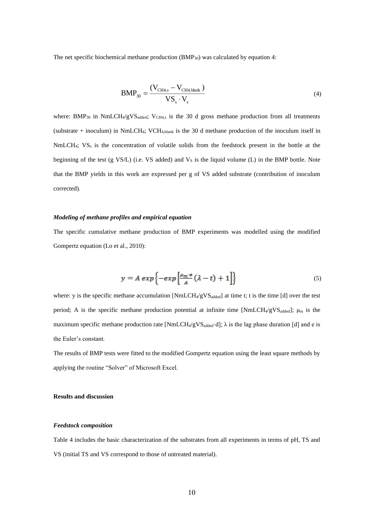The net specific biochemical methane production (BMP<sub>30</sub>) was calculated by equation 4:

$$
BMP_{30} = \frac{(V_{CH4,s} - V_{CH4,blank})}{VS_s \cdot V_s}
$$
\n(4)

where:  $BMP_{30}$  in  $NmLCH_4/gVS_{added}$ ;  $V_{CH4,s}$  is the 30 d gross methane production from all treatments (substrate + inoculum) in NmLCH4; VCH4,blank is the 30 d methane production of the inoculum itself in NmLCH<sub>4</sub>; VS<sub>s</sub> is the concentration of volatile solids from the feedstock present in the bottle at the beginning of the test (g VS/L) (i.e. VS added) and  $V<sub>S</sub>$  is the liquid volume (L) in the BMP bottle. Note that the BMP yields in this work are expressed per g of VS added substrate (contribution of inoculum corrected).

## *Modeling of methane profiles and empirical equation*

The specific cumulative methane production of BMP experiments was modelled using the modified Gompertz equation (Lo et al., 2010):

$$
y = A \exp\left\{-\exp\left[\frac{\mu_m \cdot e}{A}(\lambda - t) + 1\right]\right\} \tag{5}
$$

where: y is the specific methane accumulation  $[NmLCH_4/gVS_{added}]$  at time t; t is the time [d] over the test period; A is the specific methane production potential at infinite time [NmLCH4/gVS<sub>added</sub>];  $\mu_m$  is the maximum specific methane production rate [NmLCH<sub>4</sub>/gVS<sub>added</sub>·d];  $\lambda$  is the lag phase duration [d] and e is the Euler's constant.

The results of BMP tests were fitted to the modified Gompertz equation using the least square methods by applying the routine "Solver" of Microsoft Excel.

### **Results and discussion**

### *Feedstock composition*

Table 4 includes the basic characterization of the substrates from all experiments in terms of pH, TS and VS (initial TS and VS correspond to those of untreated material).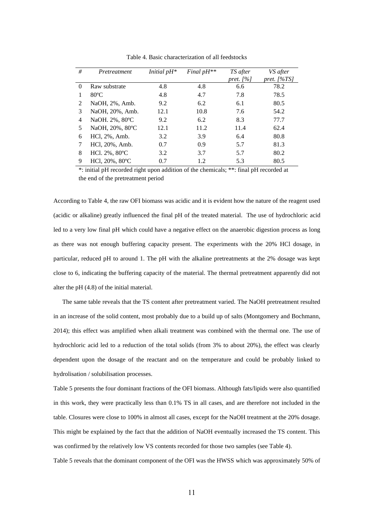| #        | Pretreatment    | Initial $pH^*$ | Final $pH^{**}$ | TS after<br>pret. $[%]$ | VS after<br>pret. [%TS] |
|----------|-----------------|----------------|-----------------|-------------------------|-------------------------|
| $\Omega$ | Raw substrate   | 4.8            | 4.8             | 6.6                     | 78.2                    |
|          | $80^{\circ}$ C  | 4.8            | 4.7             | 7.8                     | 78.5                    |
| 2        | NaOH, 2%, Amb.  | 9.2            | 6.2             | 6.1                     | 80.5                    |
| 3        | NaOH, 20%, Amb. | 12.1           | 10.8            | 7.6                     | 54.2                    |
| 4        | NaOH. 2%, 80°C  | 9.2            | 6.2             | 8.3                     | 77.7                    |
| 5        | NaOH, 20%, 80°C | 12.1           | 11.2            | 11.4                    | 62.4                    |
| 6        | HCl, 2%, Amb.   | 3.2            | 3.9             | 6.4                     | 80.8                    |
| 7        | HCl, 20%, Amb.  | 0.7            | 0.9             | 5.7                     | 81.3                    |
| 8        | HCl. 2%, 80°C   | 3.2            | 3.7             | 5.7                     | 80.2                    |
| 9        | HCl, 20%, 80°C  | 0.7            | 1.2             | 5.3                     | 80.5                    |

Table 4. Basic characterization of all feedstocks

\*: initial pH recorded right upon addition of the chemicals; \*\*: final pH recorded at the end of the pretreatment period

According to Table 4, the raw OFI biomass was acidic and it is evident how the nature of the reagent used (acidic or alkaline) greatly influenced the final pH of the treated material. The use of hydrochloric acid led to a very low final pH which could have a negative effect on the anaerobic digestion process as long as there was not enough buffering capacity present. The experiments with the 20% HCl dosage, in particular, reduced pH to around 1. The pH with the alkaline pretreatments at the 2% dosage was kept close to 6, indicating the buffering capacity of the material. The thermal pretreatment apparently did not alter the pH (4.8) of the initial material.

The same table reveals that the TS content after pretreatment varied. The NaOH pretreatment resulted in an increase of the solid content, most probably due to a build up of salts (Montgomery and Bochmann, 2014); this effect was amplified when alkali treatment was combined with the thermal one. The use of hydrochloric acid led to a reduction of the total solids (from 3% to about 20%), the effect was clearly dependent upon the dosage of the reactant and on the temperature and could be probably linked to hydrolisation / solubilisation processes.

Table 5 presents the four dominant fractions of the OFI biomass. Although fats/lipids were also quantified in this work, they were practically less than 0.1% TS in all cases, and are therefore not included in the table. Closures were close to 100% in almost all cases, except for the NaOH treatment at the 20% dosage. This might be explained by the fact that the addition of NaOH eventually increased the TS content. This was confirmed by the relatively low VS contents recorded for those two samples (see Table 4).

Table 5 reveals that the dominant component of the OFI was the HWSS which was approximately 50% of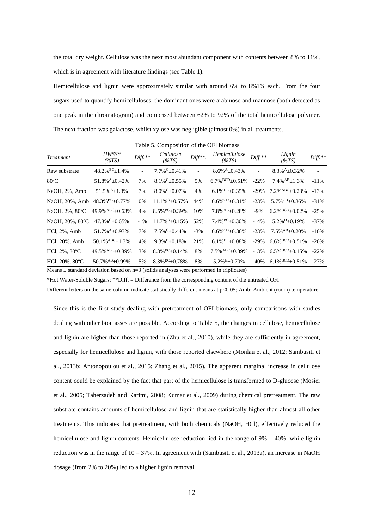the total dry weight. Cellulose was the next most abundant component with contents between 8% to 11%, which is in agreement with literature findings (see Table 1).

Hemicellulose and lignin were approximately similar with around 6% to 8%TS each. From the four sugars used to quantify hemicelluloses, the dominant ones were arabinose and mannose (both detected as one peak in the chromatogram) and comprised between 62% to 92% of the total hemicellulose polymer. The next fraction was galactose, whilst xylose was negligible (almost 0%) in all treatments.

| <b>Treatment</b> | $HWSS*$<br>$(\%TS)$                | $Diff.**$      | Cellulose<br>$(\%TS)$             | $Diff**$ .               | Hemicellulose<br>(%TS)             | $Diff.**$                | Lignin<br>$(\%TS)$                 | $Diff.**$ |
|------------------|------------------------------------|----------------|-----------------------------------|--------------------------|------------------------------------|--------------------------|------------------------------------|-----------|
| Raw substrate    | $48.2\%$ <sup>BC</sup> $\pm$ 1.4%  | $\blacksquare$ | $7.7\%$ <sup>C</sup> $\pm$ 0.41%  | $\overline{\phantom{a}}$ | $8.6\%$ <sup>A</sup> $\pm$ 0.43%   | $\overline{\phantom{a}}$ | $8.3\%$ <sup>A</sup> $\pm$ 0.32%   |           |
| $80^{\circ}$ C   | 51.8% $A_{\pm}$ 0.42%              | 7%             | $8.1\%$ <sup>C</sup> $\pm$ 0.55%  | 5%                       | 6.7% $BCD_{\pm}0.51%$              | $-22\%$                  | $7.4\%$ <sup>AB</sup> +1.3%        | $-11%$    |
| NaOH, 2%, Amb    | $51.5\%$ <sup>A</sup> $\pm$ 1.3%   | 7%             | $8.0\%$ <sup>C</sup> $\pm$ 0.07%  | 4%                       | $6.1\%$ <sup>DE</sup> $\pm$ 0.35%  | $-29%$                   | $7.2\%$ <sup>ABC</sup> +0.23%      | $-13%$    |
| NaOH, 20%, Amb   | $48.3\%$ <sup>BC</sup> $\pm$ 0.77% | 0%             | $11.1\%$ <sup>A</sup> $\pm$ 0.57% | 44%                      | $6.6\%$ <sup>CD</sup> $\pm$ 0.31%  | $-23%$                   | $5.7\%$ <sup>CD</sup> $\pm$ 0.36%  | $-31%$    |
| NaOH. 2%, 80°C   | 49.9% $ABC_{\pm}0.63%$             | 4%             | $8.5\%$ <sup>BC</sup> $\pm$ 0.39% | 10%                      | $7.8\%$ <sup>AB</sup> $\pm$ 0.28%  | $-9\%$                   | 6.2% $BCD_{\pm}0.02\%$             | $-25%$    |
| NaOH, 20%, 80°C  | $47.8\%$ <sup>C</sup> $\pm$ 0.65%  | $-1\%$         | $11.7\%$ <sup>A</sup> $\pm$ 0.15% | 52%                      | $7.4\%$ <sup>BC</sup> $\pm$ 0.30%  | $-14%$                   | $5.2\%$ <sup>D</sup> $\pm$ 0.19%   | $-37%$    |
| $HC1, 2\%$ , Amb | $51.7\%$ <sup>A</sup> $\pm$ 0.93%  | 7%             | $7.5\%$ <sup>C</sup> +0.44%       | $-3%$                    | $6.6\%$ <sup>CD</sup> $\pm$ 0.30%  | $-23%$                   | $7.5\%$ <sup>AB</sup> +0.20%       | $-10%$    |
| HCl, 20%, Amb    | $50.1\%$ <sup>ABC</sup> +1.3%      | 4%             | $9.3\%$ <sup>B</sup> $\pm$ 0.18%  | 21%                      | $6.1\%$ <sup>DE</sup> $\pm$ 0.08%  | $-29%$                   | $6.6\%$ <sup>BCD</sup> $\pm$ 0.51% | $-20%$    |
| HCl. 2%, 80°C    | 49.5% $ABC_{\pm}0.89%$             | 3%             | $8.3\%$ <sup>BC</sup> $\pm$ 0.14% | 8%                       | $7.5\%$ <sup>ABC</sup> $\pm$ 0.39% | $-13%$                   | $6.5\%$ <sup>BCD</sup> $\pm$ 0.15% | $-22%$    |
| HCl, 20%, 80°C   | 50.7% AB + 0.99%                   | 5%             | $8.3\%$ <sup>BC</sup> $\pm$ 0.78% | 8%                       | $5.2\% E + 0.70\%$                 | $-40%$                   | 6.1% $BCD + 0.51$ %                | $-27%$    |

Table 5. Composition of the OFI biomass

Means  $\pm$  standard deviation based on  $n=3$  (solids analyses were performed in triplicates)

\*Hot Water-Soluble Sugars; \*\*Diff. = Difference from the corresponding content of the untreated OFI

Different letters on the same column indicate statistically different means at p<0.05; Amb: Ambient (room) temperature.

Since this is the first study dealing with pretreatment of OFI biomass, only comparisons with studies dealing with other biomasses are possible. According to Table 5, the changes in cellulose, hemicellulose and lignin are higher than those reported in (Zhu et al., 2010), while they are sufficiently in agreement, especially for hemicellulose and lignin, with those reported elsewhere (Monlau et al., 2012; Sambusiti et al., 2013b; Antonopoulou et al., 2015; Zhang et al., 2015). The apparent marginal increase in cellulose content could be explained by the fact that part of the hemicellulose is transformed to D-glucose (Mosier et al., 2005; Taherzadeh and Karimi, 2008; Kumar et al., 2009) during chemical pretreatment. The raw substrate contains amounts of hemicellulose and lignin that are statistically higher than almost all other treatments. This indicates that pretreatment, with both chemicals (NaOH, HCl), effectively reduced the hemicellulose and lignin contents. Hemicellulose reduction lied in the range of  $9\% - 40\%$ , while lignin reduction was in the range of  $10 - 37\%$ . In agreement with (Sambusiti et al., 2013a), an increase in NaOH dosage (from 2% to 20%) led to a higher lignin removal.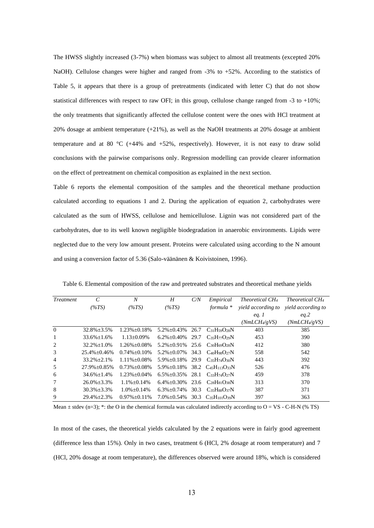The HWSS slightly increased (3-7%) when biomass was subject to almost all treatments (excepted 20% NaOH). Cellulose changes were higher and ranged from -3% to +52%. According to the statistics of Table 5, it appears that there is a group of pretreatments (indicated with letter C) that do not show statistical differences with respect to raw OFI; in this group, cellulose change ranged from  $-3$  to  $+10\%$ ; the only treatments that significantly affected the cellulose content were the ones with HCl treatment at 20% dosage at ambient temperature (+21%), as well as the NaOH treatments at 20% dosage at ambient temperature and at 80 °C (+44% and +52%, respectively). However, it is not easy to draw solid conclusions with the pairwise comparisons only. Regression modelling can provide clearer information on the effect of pretreatment on chemical composition as explained in the next section.

Table 6 reports the elemental composition of the samples and the theoretical methane production calculated according to equations 1 and 2. During the application of equation 2, carbohydrates were calculated as the sum of HWSS, cellulose and hemicellulose. Lignin was not considered part of the carbohydrates, due to its well known negligible biodegradation in anaerobic environments. Lipids were neglected due to the very low amount present. Proteins were calculated using according to the N amount and using a conversion factor of 5.36 (Salo-väänänen & Koivistoinen, 1996).

| <i>Treatment</i> | $\mathcal{C}_{0}^{0}$ | $\boldsymbol{N}$    | H                       | C/N  | Empirical                            | <i>Theoretical CH<sub>4</sub></i> | <i>Theoretical CH<sub>4</sub></i> |
|------------------|-----------------------|---------------------|-------------------------|------|--------------------------------------|-----------------------------------|-----------------------------------|
|                  | $(\%TS)$              | $(\%TS)$            | $(\%TS)$                |      | formula *                            | <i>vield according to</i>         | <i>vield according to</i>         |
|                  |                       |                     |                         |      |                                      | eq. 1                             | eq.2                              |
|                  |                       |                     |                         |      |                                      | (NmLCH4/gVS)                      | (NmLCH <sub>4</sub> /gVS)         |
| $\Omega$         | $32.8\% \pm 3.5\%$    | $1.23\% \pm 0.18\%$ | $5.2\% \pm 0.43\%$      | 26.7 | $C_{31}H_{59}O_{28}N$                | 403                               | 385                               |
| 1                | $33.6\% + 1.6\%$      | $1.13 \pm 0.09\%$   | $6.2\% + 0.40\%$        | 29.7 | $C_{35}H_{77}O_{29}N$                | 453                               | 390                               |
| 2                | $32.2\% + 1.0\%$      | $1.26\% + 0.08\%$   | $5.2\% + 0.91\%$        | 25.6 | CaoH <sub>69</sub> O <sub>28</sub> N | 412                               | 380                               |
| 3                | $25.4\% + 0.46\%$     | $0.74\% + 0.10\%$   | $5.2\% + 0.07\%$        | 34.3 | CaoH98O27N                           | 558                               | 542                               |
| 4                | $33.2\% + 2.1\%$      | $1.11\% + 0.08\%$   | $5.9\% \pm 0.18\%$ 29.9 |      | $C_{35}H_{74}O_{30}N$                | 443                               | 392                               |
| 5                | $27.9\% \pm 0.85\%$   | $0.73\% + 0.08\%$   | $5.9\% + 0.18\%$        |      | $38.2 \text{ } C_{45}H_{113}O_{33}N$ | 526                               | 476                               |
| 6                | $34.6\% + 1.4\%$      | $1.23\% + 0.04\%$   | $6.5\% + 0.35\%$        | 28.1 | $C_{33}H_{74}O_{27}N$                | 459                               | 378                               |
| 7                | $26.0\% + 3.3\%$      | $1.1\% + 0.14\%$    | $6.4\% + 0.30\%$        |      | 23.6 $C_{28}H_{81}O_{38}N$           | 313                               | 370                               |
| 8                | $30.3\% \pm 3.3\%$    | $1.0\% + 0.14\%$    | $6.3\% + 0.74\%$        | 30.3 | $C_{35}H_{88}O_{37}N$                | 387                               | 371                               |
| 9                | $29.4\% + 2.3\%$      | $0.97\% + 0.11\%$   | $7.0\% + 0.54\%$        | 30.3 | $C_{35}H_{101}O_{39}N$               | 397                               | 363                               |

Table 6. Elemental composition of the raw and pretreated substrates and theoretical methane yields

Mean  $\pm$  stdev (n=3); \*: the O in the chemical formula was calculated indirectly according to O = VS - C-H-N (% TS)

In most of the cases, the theoretical yields calculated by the 2 equations were in fairly good agreement (difference less than 15%). Only in two cases, treatment 6 (HCl, 2% dosage at room temperature) and 7 (HCl, 20% dosage at room temperature), the differences observed were around 18%, which is considered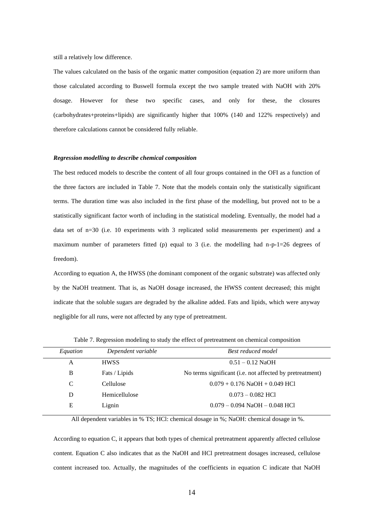still a relatively low difference.

The values calculated on the basis of the organic matter composition (equation 2) are more uniform than those calculated according to Buswell formula except the two sample treated with NaOH with 20% dosage. However for these two specific cases, and only for these, the closures (carbohydrates+proteins+lipids) are significantly higher that 100% (140 and 122% respectively) and therefore calculations cannot be considered fully reliable.

#### *Regression modelling to describe chemical composition*

The best reduced models to describe the content of all four groups contained in the OFI as a function of the three factors are included in Table 7. Note that the models contain only the statistically significant terms. The duration time was also included in the first phase of the modelling, but proved not to be a statistically significant factor worth of including in the statistical modeling. Eventually, the model had a data set of n=30 (i.e. 10 experiments with 3 replicated solid measurements per experiment) and a maximum number of parameters fitted (p) equal to 3 (i.e. the modelling had n-p-1=26 degrees of freedom).

According to equation A, the HWSS (the dominant component of the organic substrate) was affected only by the NaOH treatment. That is, as NaOH dosage increased, the HWSS content decreased; this might indicate that the soluble sugars are degraded by the alkaline added. Fats and lipids, which were anyway negligible for all runs, were not affected by any type of pretreatment.

| Equation | Dependent variable | <b>Best reduced model</b>                                |
|----------|--------------------|----------------------------------------------------------|
| A        | <b>HWSS</b>        | $0.51 - 0.12$ NaOH                                       |
| B        | Fats / Lipids      | No terms significant (i.e. not affected by pretreatment) |
| C        | Cellulose          | $0.079 + 0.176$ NaOH $+ 0.049$ HCl                       |
| D        | Hemicellulose      | $0.073 - 0.082$ HCl                                      |
| E        | Lignin             | $0.079 - 0.094$ NaOH $- 0.048$ HCl                       |
|          |                    |                                                          |

Table 7. Regression modeling to study the effect of pretreatment on chemical composition

All dependent variables in % TS; HCl: chemical dosage in %; NaOH: chemical dosage in %.

According to equation C, it appears that both types of chemical pretreatment apparently affected cellulose content. Equation C also indicates that as the NaOH and HCl pretreatment dosages increased, cellulose content increased too. Actually, the magnitudes of the coefficients in equation C indicate that NaOH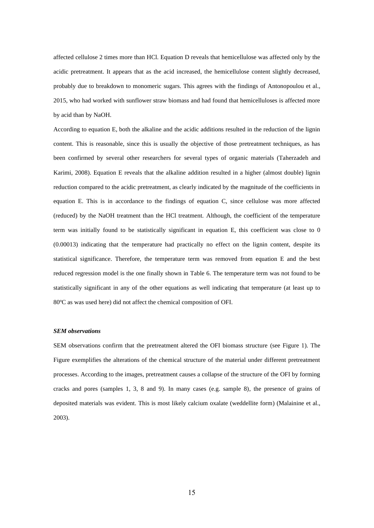affected cellulose 2 times more than HCl. Equation D reveals that hemicellulose was affected only by the acidic pretreatment. It appears that as the acid increased, the hemicellulose content slightly decreased, probably due to breakdown to monomeric sugars. This agrees with the findings of Antonopoulou et al., 2015, who had worked with sunflower straw biomass and had found that hemicelluloses is affected more by acid than by NaOH.

According to equation E, both the alkaline and the acidic additions resulted in the reduction of the lignin content. This is reasonable, since this is usually the objective of those pretreatment techniques, as has been confirmed by several other researchers for several types of organic materials (Taherzadeh and Karimi, 2008). Equation E reveals that the alkaline addition resulted in a higher (almost double) lignin reduction compared to the acidic pretreatment, as clearly indicated by the magnitude of the coefficients in equation E. This is in accordance to the findings of equation C, since cellulose was more affected (reduced) by the NaOH treatment than the HCl treatment. Although, the coefficient of the temperature term was initially found to be statistically significant in equation E, this coefficient was close to 0 (0.00013) indicating that the temperature had practically no effect on the lignin content, despite its statistical significance. Therefore, the temperature term was removed from equation E and the best reduced regression model is the one finally shown in Table 6. The temperature term was not found to be statistically significant in any of the other equations as well indicating that temperature (at least up to 80ºC as was used here) did not affect the chemical composition of OFI.

### *SEM observations*

SEM observations confirm that the pretreatment altered the OFI biomass structure (see Figure 1). The Figure exemplifies the alterations of the chemical structure of the material under different pretreatment processes. According to the images, pretreatment causes a collapse of the structure of the OFI by forming cracks and pores (samples 1, 3, 8 and 9). In many cases (e.g. sample 8), the presence of grains of deposited materials was evident. This is most likely calcium oxalate (weddellite form) (Malainine et al., 2003).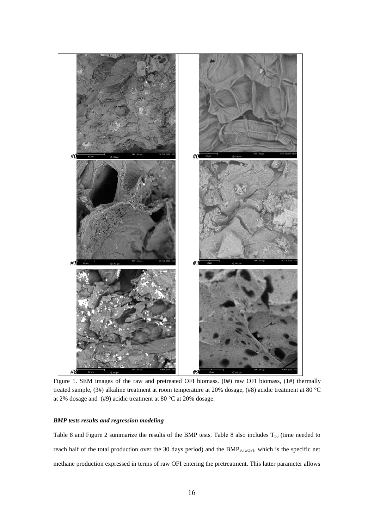

Figure 1. SEM images of the raw and pretreated OFI biomass. (0#) raw OFI biomass, (1#) thermally treated sample, (3#) alkaline treatment at room temperature at 20% dosage, (#8) acidic treatment at 80 °C at 2% dosage and (#9) acidic treatment at 80 °C at 20% dosage.

# *BMP tests results and regression modeling*

Table 8 and Figure 2 summarize the results of the BMP tests. Table 8 also includes  $T_{50}$  (time needed to reach half of the total production over the 30 days period) and the BMP<sub>30,wOFI</sub>, which is the specific net methane production expressed in terms of raw OFI entering the pretreatment. This latter parameter allows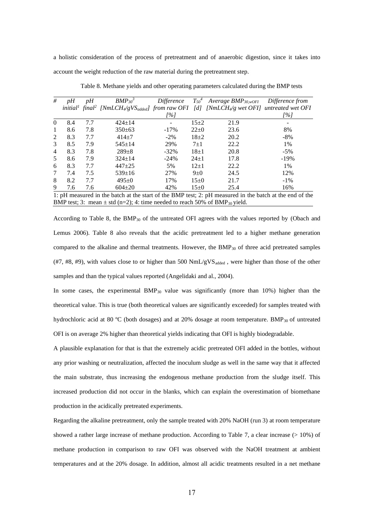a holistic consideration of the process of pretreatment and of anaerobic digestion, since it takes into account the weight reduction of the raw material during the pretreatment step.

| #              | pH  | pH  | $BMP_{30}^3$ | Difference |            | $T_{50}$ <sup>4</sup> Average BMP <sub>30,wOFI</sub>                                                                                                   | Difference from |
|----------------|-----|-----|--------------|------------|------------|--------------------------------------------------------------------------------------------------------------------------------------------------------|-----------------|
|                |     |     |              |            |            | initial <sup>1</sup> final <sup>2</sup> [NmLCH <sub>4</sub> /gVS <sub>added</sub> ] from raw OFI [d] [NmLCH <sub>4</sub> /g wet OFI] untreated wet OFI |                 |
|                |     |     |              | [%]        |            |                                                                                                                                                        | 1%]             |
| $\Omega$       | 8.4 | 7.7 | $424 \pm 14$ |            | $15+2$     | 21.9                                                                                                                                                   |                 |
| $\mathbf{1}$   | 8.6 | 7.8 | $350 \pm 63$ | $-17\%$    | $22 \pm 0$ | 23.6                                                                                                                                                   | 8%              |
| 2              | 8.3 | 7.7 | $414 + 7$    | $-2\%$     | $18+2$     | 20.2                                                                                                                                                   | $-8%$           |
| 3              | 8.5 | 7.9 | $545 \pm 14$ | 29%        | $7 + 1$    | 22.2                                                                                                                                                   | 1%              |
| $\overline{4}$ | 8.3 | 7.8 | $289 + 8$    | $-32\%$    | $18 + 1$   | 20.8                                                                                                                                                   | $-5\%$          |
| 5              | 8.6 | 7.9 | $324 \pm 14$ | $-24%$     | $24 \pm 1$ | 17.8                                                                                                                                                   | $-19%$          |
| 6              | 8.3 | 7.7 | $447 + 25$   | 5%         | $12\pm1$   | 22.2                                                                                                                                                   | 1%              |
| 7              | 7.4 | 7.5 | $539 \pm 16$ | 27%        | $9\pm0$    | 24.5                                                                                                                                                   | 12%             |
| 8              | 8.2 | 7.7 | $495+0$      | 17%        | $15 \pm 0$ | 21.7                                                                                                                                                   | $-1\%$          |
| 9              | 7.6 | 7.6 | $604 \pm 20$ | 42%        | $15 \pm 0$ | 25.4                                                                                                                                                   | 16%             |
|                |     |     |              |            |            | 1. AII according to the bottle of the stage of the DMD test. Or aII according the bottle of the said of the                                            |                 |

Table 8. Methane yields and other operating parameters calculated during the BMP tests

1: pH measured in the batch at the start of the BMP test; 2: pH measured in the batch at the end of the BMP test; 3: mean  $\pm$  std (n=2); 4: time needed to reach 50% of BMP<sub>30</sub> yield.

According to Table 8, the BMP<sup>30</sup> of the untreated OFI agrees with the values reported by (Obach and Lemus 2006). Table 8 also reveals that the acidic pretreatment led to a higher methane generation compared to the alkaline and thermal treatments. However, the BMP<sub>30</sub> of three acid pretreated samples  $(47, 48, 49)$ , with values close to or higher than 500 NmL/gVS<sub>added</sub>, were higher than those of the other samples and than the typical values reported (Angelidaki and al., 2004).

In some cases, the experimental BMP $_{30}$  value was significantly (more than 10%) higher than the theoretical value. This is true (both theoretical values are significantly exceeded) for samples treated with hydrochloric acid at 80 °C (both dosages) and at 20% dosage at room temperature. BMP<sub>30</sub> of untreated OFI is on average 2% higher than theoretical yields indicating that OFI is highly biodegradable.

A plausible explanation for that is that the extremely acidic pretreated OFI added in the bottles, without any prior washing or neutralization, affected the inoculum sludge as well in the same way that it affected the main substrate, thus increasing the endogenous methane production from the sludge itself. This increased production did not occur in the blanks, which can explain the overestimation of biomethane production in the acidically pretreated experiments.

Regarding the alkaline pretreatment, only the sample treated with 20% NaOH (run 3) at room temperature showed a rather large increase of methane production. According to Table 7, a clear increase (> 10%) of methane production in comparison to raw OFI was observed with the NaOH treatment at ambient temperatures and at the 20% dosage. In addition, almost all acidic treatments resulted in a net methane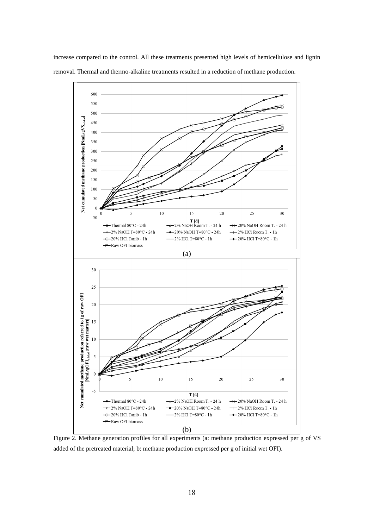

increase compared to the control. All these treatments presented high levels of hemicellulose and lignin removal. Thermal and thermo-alkaline treatments resulted in a reduction of methane production.

Figure 2. Methane generation profiles for all experiments (a: methane production expressed per g of VS added of the pretreated material; b: methane production expressed per g of initial wet OFI).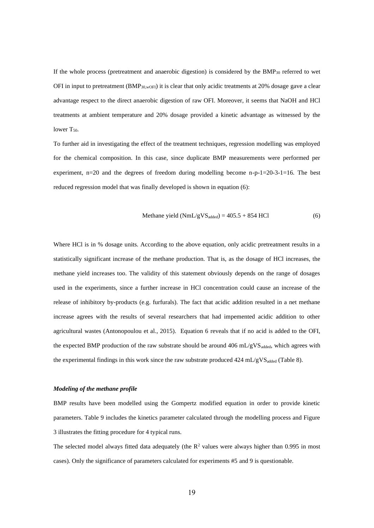If the whole process (pretreatment and anaerobic digestion) is considered by the  $BMP_{30}$  referred to wet OFI in input to pretreatment  $(BMP_{30,wOFI})$  it is clear that only acidic treatments at 20% dosage gave a clear advantage respect to the direct anaerobic digestion of raw OFI. Moreover, it seems that NaOH and HCl treatments at ambient temperature and 20% dosage provided a kinetic advantage as witnessed by the lower  $T_{50}$ .

To further aid in investigating the effect of the treatment techniques, regression modelling was employed for the chemical composition. In this case, since duplicate BMP measurements were performed per experiment,  $n=20$  and the degrees of freedom during modelling become  $n-p-1=20-3-1=16$ . The best reduced regression model that was finally developed is shown in equation (6):

$$
Method (NmL/gVSadded) = 405.5 + 854 HCl
$$
 (6)

Where HCl is in % dosage units. According to the above equation, only acidic pretreatment results in a statistically significant increase of the methane production. That is, as the dosage of HCl increases, the methane yield increases too. The validity of this statement obviously depends on the range of dosages used in the experiments, since a further increase in HCl concentration could cause an increase of the release of inhibitory by-products (e.g. furfurals). The fact that acidic addition resulted in a net methane increase agrees with the results of several researchers that had impemented acidic addition to other agricultural wastes (Antonopoulou et al., 2015). Equation 6 reveals that if no acid is added to the OFI, the expected BMP production of the raw substrate should be around  $406 \text{ mL/gVS}_{\text{added}}$ , which agrees with the experimental findings in this work since the raw substrate produced  $424 \text{ mL/gVS}_{\text{added}}$  (Table 8).

## *Modeling of the methane profile*

BMP results have been modelled using the Gompertz modified equation in order to provide kinetic parameters. Table 9 includes the kinetics parameter calculated through the modelling process and Figure 3 illustrates the fitting procedure for 4 typical runs.

The selected model always fitted data adequately (the  $R<sup>2</sup>$  values were always higher than 0.995 in most cases). Only the significance of parameters calculated for experiments #5 and 9 is questionable.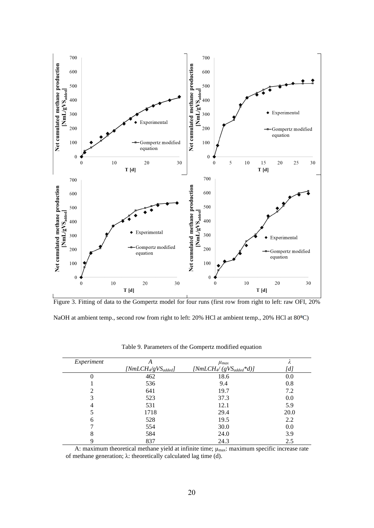



NaOH at ambient temp., second row from right to left: 20% HCl at ambient temp., 20% HCl at 80°C)

| Experiment | A                       | $\mu_{max}$                     | Λ                                                                                                                                                                                                                                                                                                                             |
|------------|-------------------------|---------------------------------|-------------------------------------------------------------------------------------------------------------------------------------------------------------------------------------------------------------------------------------------------------------------------------------------------------------------------------|
|            | $[NmLCH_4/gVS_{added}]$ | $[NmLCH\llap/ (gVS_{added}*d)]$ | $[d]% \centering \subfloat[\centering]{{\includegraphics[scale=0.2]{img8.png} }}% \qquad \subfloat[\centering]{{\includegraphics[scale=0.2]{img9.png} }}% \caption{The 3D maps of the estimators in our classification example (A) and the 4D maps of the real and eigenvalues (B) are shown in \citet{S}.}% \label{fig:3D}%$ |
| 0          | 462                     | 18.6                            | 0.0                                                                                                                                                                                                                                                                                                                           |
|            | 536                     | 9.4                             | 0.8                                                                                                                                                                                                                                                                                                                           |
| 2          | 641                     | 19.7                            | 7.2                                                                                                                                                                                                                                                                                                                           |
| 3          | 523                     | 37.3                            | 0.0                                                                                                                                                                                                                                                                                                                           |
| 4          | 531                     | 12.1                            | 5.9                                                                                                                                                                                                                                                                                                                           |
|            | 1718                    | 29.4                            | 20.0                                                                                                                                                                                                                                                                                                                          |
| 6          | 528                     | 19.5                            | 2.2                                                                                                                                                                                                                                                                                                                           |
|            | 554                     | 30.0                            | 0.0                                                                                                                                                                                                                                                                                                                           |
| 8          | 584                     | 24.0                            | 3.9                                                                                                                                                                                                                                                                                                                           |
| 9          | 837                     | 24.3                            | 2.5                                                                                                                                                                                                                                                                                                                           |

Table 9. Parameters of the Gompertz modified equation

A: maximum theoretical methane yield at infinite time; μmax: maximum specific increase rate of methane generation; λ: theoretically calculated lag time (d).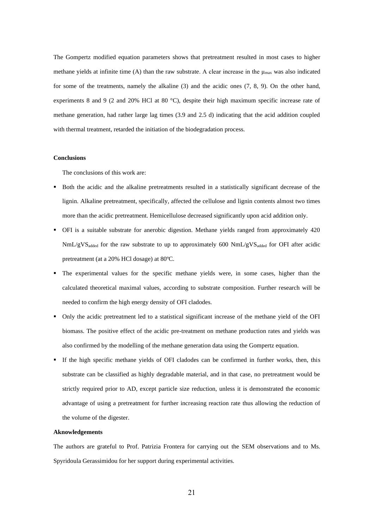The Gompertz modified equation parameters shows that pretreatment resulted in most cases to higher methane yields at infinite time (A) than the raw substrate. A clear increase in the  $\mu_{\text{max}}$  was also indicated for some of the treatments, namely the alkaline (3) and the acidic ones (7, 8, 9). On the other hand, experiments 8 and 9 (2 and 20% HCl at 80 °C), despite their high maximum specific increase rate of methane generation, had rather large lag times (3.9 and 2.5 d) indicating that the acid addition coupled with thermal treatment, retarded the initiation of the biodegradation process.

#### **Conclusions**

The conclusions of this work are:

- Both the acidic and the alkaline pretreatments resulted in a statistically significant decrease of the lignin. Alkaline pretreatment, specifically, affected the cellulose and lignin contents almost two times more than the acidic pretreatment. Hemicellulose decreased significantly upon acid addition only.
- OFI is a suitable substrate for anerobic digestion. Methane yields ranged from approximately 420 NmL/gVS<sub>added</sub> for the raw substrate to up to approximately 600 NmL/gVS<sub>added</sub> for OFI after acidic pretreatment (at a 20% HCl dosage) at 80ºC.
- The experimental values for the specific methane yields were, in some cases, higher than the calculated theoretical maximal values, according to substrate composition. Further research will be needed to confirm the high energy density of OFI cladodes.
- Only the acidic pretreatment led to a statistical significant increase of the methane yield of the OFI biomass. The positive effect of the acidic pre-treatment on methane production rates and yields was also confirmed by the modelling of the methane generation data using the Gompertz equation.
- If the high specific methane yields of OFI cladodes can be confirmed in further works, then, this substrate can be classified as highly degradable material, and in that case, no pretreatment would be strictly required prior to AD, except particle size reduction, unless it is demonstrated the economic advantage of using a pretreatment for further increasing reaction rate thus allowing the reduction of the volume of the digester.

### **Aknowledgements**

The authors are grateful to Prof. Patrizia Frontera for carrying out the SEM observations and to Ms. Spyridoula Gerassimidou for her support during experimental activities.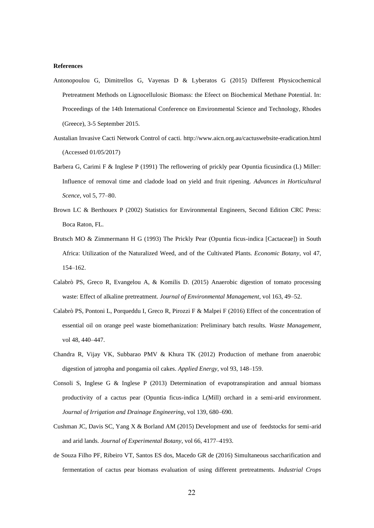#### **References**

- Antonopoulou G, Dimitrellos G, Vayenas D & Lyberatos G (2015) Different Physicochemical Pretreatment Methods on Lignocellulosic Biomass: the Efeect on Biochemical Methane Potential. In: Proceedings of the 14th International Conference on Environmental Science and Technology, Rhodes (Greece), 3-5 September 2015.
- Austalian Invasive Cacti Network Control of cacti.<http://www.aicn.org.au/cactuswebsite-eradication.html> (Accessed 01/05/2017)
- Barbera G, Carimi F & Inglese P (1991) The reflowering of prickly pear Opuntia ficusindica (L) Miller: Influence of removal time and cladode load on yield and fruit ripening. *Advances in Horticultural Scence*, vol 5, 77–80.
- Brown LC & Berthouex P (2002) Statistics for Environmental Engineers, Second Edition CRC Press: Boca Raton, FL.
- Brutsch MO & Zimmermann H G (1993) The Prickly Pear (Opuntia ficus-indica [Cactaceae]) in South Africa: Utilization of the Naturalized Weed, and of the Cultivated Plants. *Economic Botany*, vol 47, 154–162.
- Calabrò PS, Greco R, Evangelou A, & Komilis D. (2015) Anaerobic digestion of tomato processing waste: Effect of alkaline pretreatment. *Journal of Environmental Management*, vol 163, 49–52.
- Calabrò PS, Pontoni L, Porqueddu I, Greco R, Pirozzi F & Malpei F (2016) Effect of the concentration of essential oil on orange peel waste biomethanization: Preliminary batch results. *Waste Management*, vol 48, 440–447.
- Chandra R, Vijay VK, Subbarao PMV & Khura TK (2012) Production of methane from anaerobic digestion of jatropha and pongamia oil cakes. *Applied Energy*, vol 93, 148–159.
- Consoli S, Inglese G & Inglese P (2013) Determination of evapotranspiration and annual biomass productivity of a cactus pear (Opuntia ficus-indica L(Mill) orchard in a semi-arid environment. *Journal of Irrigation and Drainage Engineering*, vol 139, 680–690.
- Cushman JC, Davis SC, Yang X & Borland AM (2015) Development and use of feedstocks for semi-arid and arid lands. *Journal of Experimental Botany*, vol 66, 4177–4193.
- de Souza Filho PF, Ribeiro VT, Santos ES dos, Macedo GR de (2016) Simultaneous saccharification and fermentation of cactus pear biomass evaluation of using different pretreatments. *Industrial Crops*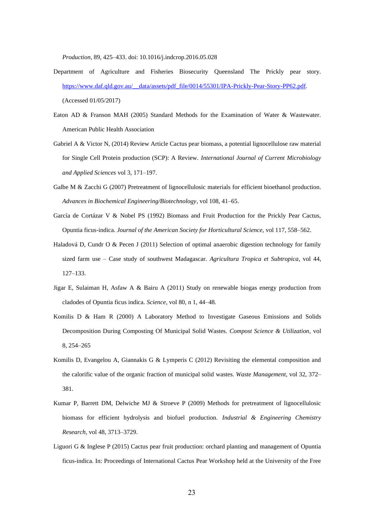*Production*, 89, 425–433. doi: 10.1016/j.indcrop.2016.05.028

- Department of Agriculture and Fisheries Biosecurity Queensland The Prickly pear story. [https://www.daf.qld.gov.au/\\_\\_data/assets/pdf\\_file/0014/55301/IPA-Prickly-Pear-Story-PP62.pdf.](https://www.daf.qld.gov.au/__data/assets/pdf_file/0014/55301/IPA-Prickly-Pear-Story-PP62.pdf) (Accessed 01/05/2017)
- Eaton AD & Franson MAH (2005) Standard Methods for the Examination of Water & Wastewater. American Public Health Association
- Gabriel A & Victor N, (2014) Review Article Cactus pear biomass, a potential lignocellulose raw material for Single Cell Protein production (SCP): A Review. *International Journal of Current Microbiology and Applied Sciences* vol 3, 171–197.
- Galbe M & Zacchi G (2007) Pretreatment of lignocellulosic materials for efficient bioethanol production. *Advances in Biochemical Engineering/Biotechnology*, vol 108, 41–65.
- García de Cortázar V & Nobel PS (1992) Biomass and Fruit Production for the Prickly Pear Cactus, Opuntia ficus-indica. *Journal of the American Society for Horticultural Science*, vol 117, 558–562.
- Haladová D, Cundr O & Pecen J (2011) Selection of optimal anaerobic digestion technology for family sized farm use – Case study of southwest Madagascar. *Agricultura Tropica et Subtropica*, vol 44, 127–133.
- Jigar E, Sulaiman H, Asfaw A & Bairu A (2011) Study on renewable biogas energy production from cladodes of Opuntia ficus indica. *Science*, vol 80, n 1, 44–48.
- Komilis D & Ham R (2000) A Laboratory Method to Investigate Gaseous Emissions and Solids Decomposition During Composting Of Municipal Solid Wastes. *Compost Science & Utilization*, vol 8, 254–265
- Komilis D, Evangelou A, Giannakis G & Lymperis C (2012) Revisiting the elemental composition and the calorific value of the organic fraction of municipal solid wastes. *Waste Management*, vol 32, 372– 381.
- Kumar P, Barrett DM, Delwiche MJ & Stroeve P (2009) Methods for pretreatment of lignocellulosic biomass for efficient hydrolysis and biofuel production. *Industrial & Engineering Chemistry Research*, vol 48, 3713–3729.
- Liguori G & Inglese P (2015) Cactus pear fruit production: orchard planting and management of Opuntia ficus-indica. In: Proceedings of International Cactus Pear Workshop held at the University of the Free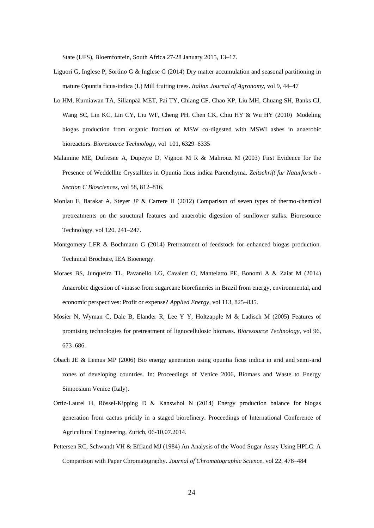State (UFS), Bloemfontein, South Africa 27-28 January 2015, 13–17.

- Liguori G, Inglese P, Sortino G & Inglese G (2014) Dry matter accumulation and seasonal partitioning in mature Opuntia ficus-indica (L) Mill fruiting trees. *Italian Journal of Agronomy*, vol 9, 44–47
- Lo HM, Kurniawan TA, Sillanpää MET, Pai TY, Chiang CF, Chao KP, Liu MH, Chuang SH, Banks CJ, Wang SC, Lin KC, Lin CY, Liu WF, Cheng PH, Chen CK, Chiu HY & Wu HY (2010) Modeling biogas production from organic fraction of MSW co-digested with MSWI ashes in anaerobic bioreactors. *Bioresource Technology*, vol 101, 6329–6335
- Malainine ME, Dufresne A, Dupeyre D, Vignon M R & Mahrouz M (2003) First Evidence for the Presence of Weddellite Crystallites in Opuntia ficus indica Parenchyma. *Zeitschrift fur Naturforsch - Section C Biosciences*, vol 58, 812–816.
- Monlau F, Barakat A, Steyer JP & Carrere H (2012) Comparison of seven types of thermo-chemical pretreatments on the structural features and anaerobic digestion of sunflower stalks. Bioresource Technology, vol 120, 241–247.
- Montgomery LFR & Bochmann G (2014) Pretreatment of feedstock for enhanced biogas production. Technical Brochure, IEA Bioenergy.
- Moraes BS, Junqueira TL, Pavanello LG, Cavalett O, Mantelatto PE, Bonomi A & Zaiat M (2014) Anaerobic digestion of vinasse from sugarcane biorefineries in Brazil from energy, environmental, and economic perspectives: Profit or expense? *Applied Energy*, vol 113, 825–835.
- Mosier N, Wyman C, Dale B, Elander R, Lee Y Y, Holtzapple M & Ladisch M (2005) Features of promising technologies for pretreatment of lignocellulosic biomass. *Bioresource Technology*, vol 96, 673–686.
- Obach JE & Lemus MP (2006) Bio energy generation using opuntia ficus indica in arid and semi-arid zones of developing countries. In: Proceedings of Venice 2006, Biomass and Waste to Energy Simposium Venice (Italy).
- Ortiz-Laurel H, Rössel-Kipping D & Kanswhol N (2014) Energy production balance for biogas generation from cactus prickly in a staged biorefinery. Proceedings of International Conference of Agricultural Engineering, Zurich, 06-10.07.2014.
- Pettersen RC, Schwandt VH & Effland MJ (1984) An Analysis of the Wood Sugar Assay Using HPLC: A Comparison with Paper Chromatography. *Journal of Chromatographic Science*, vol 22, 478–484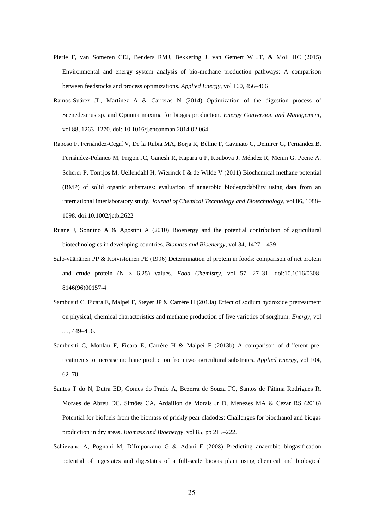- Pierie F, van Someren CEJ, Benders RMJ, Bekkering J, van Gemert W JT, & Moll HC (2015) Environmental and energy system analysis of bio-methane production pathways: A comparison between feedstocks and process optimizations. *Applied Energy*, vol 160, 456–466
- Ramos-Suárez JL, Martínez A & Carreras N (2014) Optimization of the digestion process of Scenedesmus sp. and Opuntia maxima for biogas production. *Energy Conversion and Management*, vol 88, 1263–1270. doi: 10.1016/j.enconman.2014.02.064
- Raposo F, Fernández-Cegrí V, De la Rubia MA, Borja R, Béline F, Cavinato C, Demirer G, Fernández B, Fernández-Polanco M, Frigon JC, Ganesh R, Kaparaju P, Koubova J, Méndez R, Menin G, Peene A, Scherer P, Torrijos M, Uellendahl H, Wierinck I & de Wilde V (2011) Biochemical methane potential (BMP) of solid organic substrates: evaluation of anaerobic biodegradability using data from an international interlaboratory study. *Journal of Chemical Technology and Biotechnology*, vol 86, 1088– 1098. doi:10.1002/jctb.2622
- Ruane J, Sonnino A & Agostini A (2010) Bioenergy and the potential contribution of agricultural biotechnologies in developing countries. *Biomass and Bioenergy*, vol 34, 1427–1439
- Salo-väänänen PP & Koivistoinen PE (1996) Determination of protein in foods: comparison of net protein and crude protein  $(N \times 6.25)$  values. *Food Chemistry*, vol 57, 27-31. doi:10.1016/0308-8146(96)00157-4
- Sambusiti C, Ficara E, Malpei F, Steyer JP & Carrère H (2013a) Effect of sodium hydroxide pretreatment on physical, chemical characteristics and methane production of five varieties of sorghum. *Energy*, vol 55, 449–456.
- Sambusiti C, Monlau F, Ficara E, Carrère H & Malpei F (2013b) A comparison of different pretreatments to increase methane production from two agricultural substrates. *Applied Energy*, vol 104, 62–70.
- Santos T do N, Dutra ED, Gomes do Prado A, Bezerra de Souza FC, Santos de Fátima Rodrigues R, Moraes de Abreu DC, Simões CA, Ardaillon de Morais Jr D, Menezes MA & Cezar RS (2016) Potential for biofuels from the biomass of prickly pear cladodes: Challenges for bioethanol and biogas production in dry areas. *Biomass and Bioenergy*, vol 85, pp 215–222.
- Schievano A, Pognani M, D'Imporzano G & Adani F (2008) Predicting anaerobic biogasification potential of ingestates and digestates of a full-scale biogas plant using chemical and biological